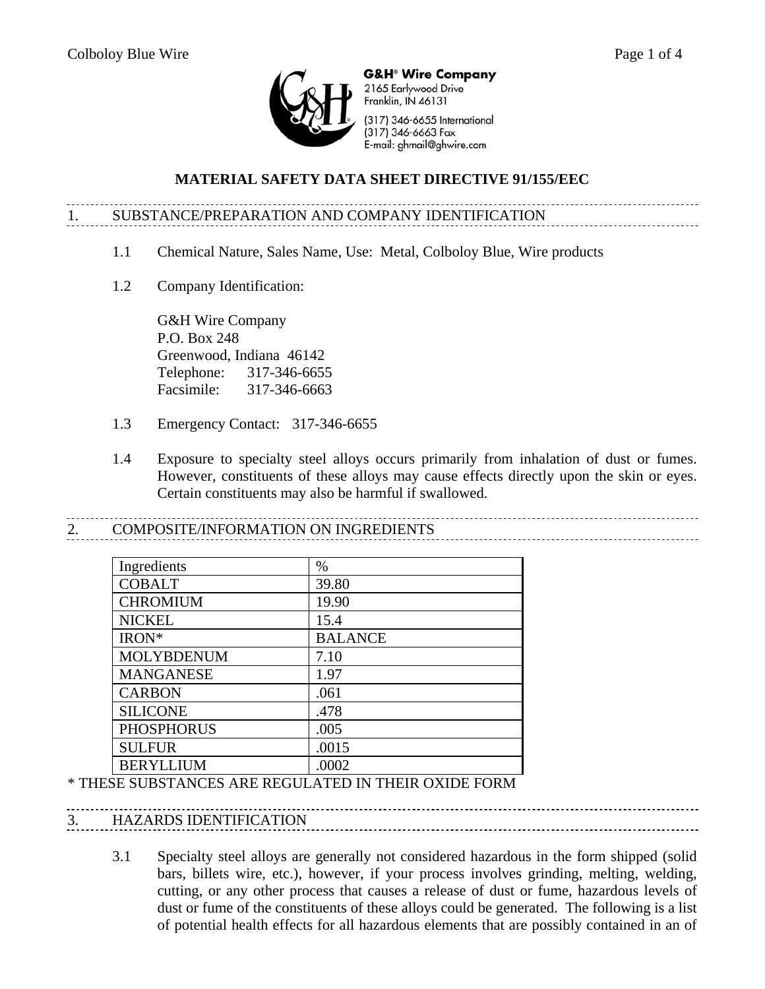

**G&H<sup>®</sup> Wire Company** 2165 Earlywood Drive Franklin, IN 46131

(317) 346-6655 International (317) 346-6663 Fax E-mail: ghmail@ghwire.com

#### **MATERIAL SAFETY DATA SHEET DIRECTIVE 91/155/EEC**

#### 1. SUBSTANCE/PREPARATION AND COMPANY IDENTIFICATION

- 1.1 Chemical Nature, Sales Name, Use: Metal, Colboloy Blue, Wire products
- 1.2 Company Identification:

G&H Wire Company P.O. Box 248 Greenwood, Indiana 46142 Telephone: 317-346-6655 Facsimile: 317-346-6663

- 1.3 Emergency Contact: 317-346-6655
- 1.4 Exposure to specialty steel alloys occurs primarily from inhalation of dust or fumes. However, constituents of these alloys may cause effects directly upon the skin or eyes. Certain constituents may also be harmful if swallowed.

# 2. COMPOSITE/INFORMATION ON INGREDIENTS

| Ingredients       | $\%$           |
|-------------------|----------------|
| <b>COBALT</b>     | 39.80          |
| <b>CHROMIUM</b>   | 19.90          |
| <b>NICKEL</b>     | 15.4           |
| IRON*             | <b>BALANCE</b> |
| <b>MOLYBDENUM</b> | 7.10           |
| <b>MANGANESE</b>  | 1.97           |
| <b>CARBON</b>     | .061           |
| <b>SILICONE</b>   | .478           |
| <b>PHOSPHORUS</b> | .005           |
| <b>SULFUR</b>     | .0015          |
| <b>BERYLLIUM</b>  | .0002          |

\* THESE SUBSTANCES ARE REGULATED IN THEIR OXIDE FORM

#### 3. HAZARDS IDENTIFICATION

3.1 Specialty steel alloys are generally not considered hazardous in the form shipped (solid bars, billets wire, etc.), however, if your process involves grinding, melting, welding, cutting, or any other process that causes a release of dust or fume, hazardous levels of dust or fume of the constituents of these alloys could be generated. The following is a list of potential health effects for all hazardous elements that are possibly contained in an of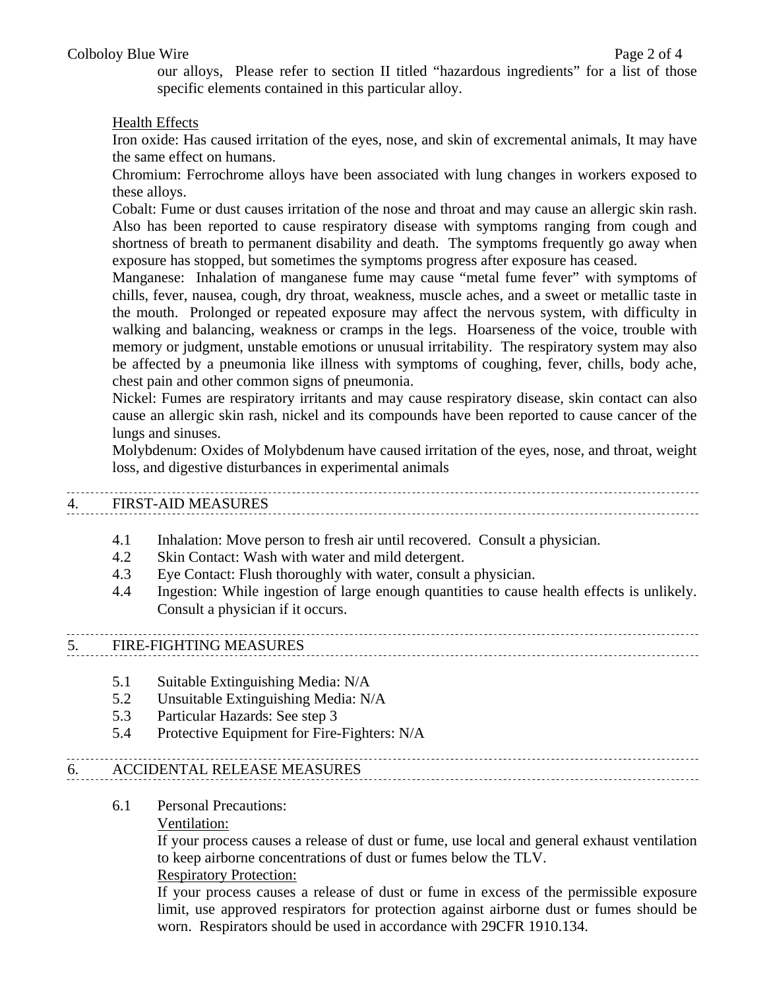#### Colboloy Blue Wire Page 2 of 4

our alloys, Please refer to section II titled "hazardous ingredients" for a list of those specific elements contained in this particular alloy.

#### Health Effects

Iron oxide: Has caused irritation of the eyes, nose, and skin of excremental animals, It may have the same effect on humans.

Chromium: Ferrochrome alloys have been associated with lung changes in workers exposed to these alloys.

Cobalt: Fume or dust causes irritation of the nose and throat and may cause an allergic skin rash. Also has been reported to cause respiratory disease with symptoms ranging from cough and shortness of breath to permanent disability and death. The symptoms frequently go away when exposure has stopped, but sometimes the symptoms progress after exposure has ceased.

Manganese: Inhalation of manganese fume may cause "metal fume fever" with symptoms of chills, fever, nausea, cough, dry throat, weakness, muscle aches, and a sweet or metallic taste in the mouth. Prolonged or repeated exposure may affect the nervous system, with difficulty in walking and balancing, weakness or cramps in the legs. Hoarseness of the voice, trouble with memory or judgment, unstable emotions or unusual irritability. The respiratory system may also be affected by a pneumonia like illness with symptoms of coughing, fever, chills, body ache, chest pain and other common signs of pneumonia.

Nickel: Fumes are respiratory irritants and may cause respiratory disease, skin contact can also cause an allergic skin rash, nickel and its compounds have been reported to cause cancer of the lungs and sinuses.

Molybdenum: Oxides of Molybdenum have caused irritation of the eyes, nose, and throat, weight loss, and digestive disturbances in experimental animals

#### 4. FIRST-AID MEASURES

- 4.1 Inhalation: Move person to fresh air until recovered. Consult a physician.
- 4.2 Skin Contact: Wash with water and mild detergent.
- 4.3 Eye Contact: Flush thoroughly with water, consult a physician.
- 4.4 Ingestion: While ingestion of large enough quantities to cause health effects is unlikely. Consult a physician if it occurs.

#### 5. FIRE-FIGHTING MEASURES

- 5.1 Suitable Extinguishing Media: N/A
- 5.2 Unsuitable Extinguishing Media: N/A
- 5.3 Particular Hazards: See step 3
- 5.4 Protective Equipment for Fire-Fighters: N/A

#### 6. ACCIDENTAL RELEASE MEASURES

6.1 Personal Precautions:

#### Ventilation:

If your process causes a release of dust or fume, use local and general exhaust ventilation to keep airborne concentrations of dust or fumes below the TLV. Respiratory Protection:

If your process causes a release of dust or fume in excess of the permissible exposure limit, use approved respirators for protection against airborne dust or fumes should be worn. Respirators should be used in accordance with 29CFR 1910.134.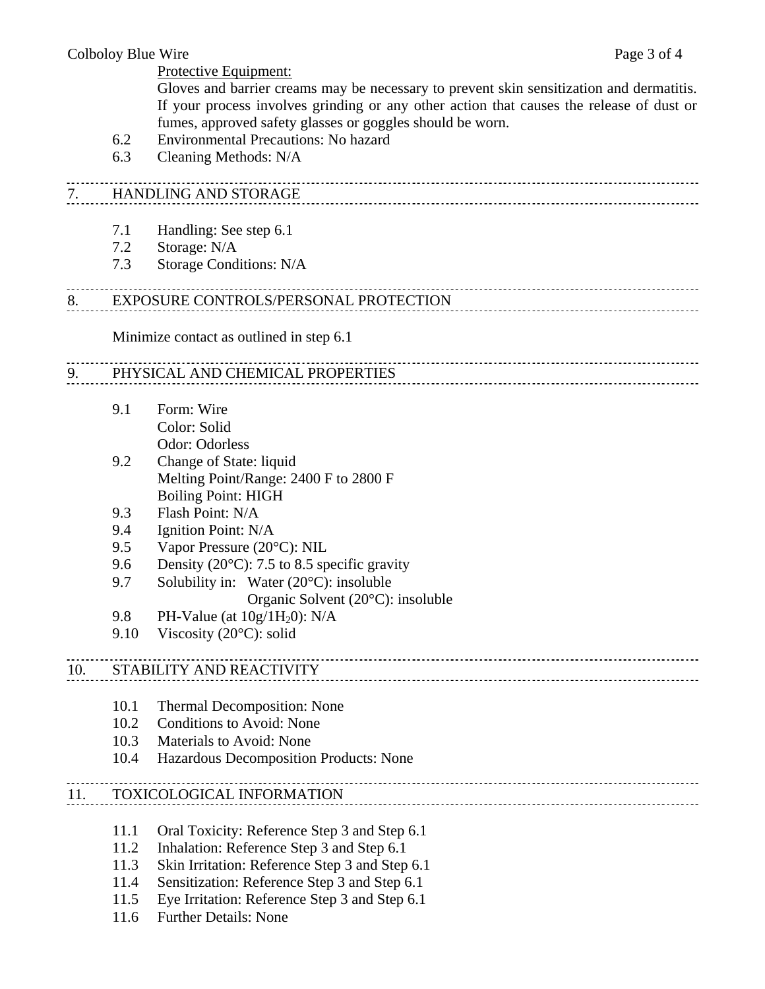Protective Equipment:

Gloves and barrier creams may be necessary to prevent skin sensitization and dermatitis. If your process involves grinding or any other action that causes the release of dust or fumes, approved safety glasses or goggles should be worn.

- 6.2 Environmental Precautions: No hazard
- 6.3 Cleaning Methods: N/A

#### 7. HANDLING AND STORAGE

- 7.1 Handling: See step 6.1
- 7.2 Storage: N/A
- 7.3 Storage Conditions: N/A

## 8. EXPOSURE CONTROLS/PERSONAL PROTECTION

Minimize contact as outlined in step 6.1

#### 9. PHYSICAL AND CHEMICAL PROPERTIES

- 9.1 Form: Wire Color: Solid Odor: Odorless
- 9.2 Change of State: liquid Melting Point/Range: 2400 F to 2800 F Boiling Point: HIGH
- 9.3 Flash Point: N/A
- 9.4 Ignition Point: N/A
- 9.5 Vapor Pressure (20°C): NIL
- 9.6 Density (20 $^{\circ}$ C): 7.5 to 8.5 specific gravity
- 9.7 Solubility in: Water (20°C): insoluble
	- Organic Solvent (20°C): insoluble

- 9.8 PH-Value (at  $10g/H_20$ ): N/A
- 9.10 Viscosity (20°C): solid

### 10. STABILITY AND REACTIVITY

- 10.1 Thermal Decomposition: None
- 10.2 Conditions to Avoid: None
- 10.3 Materials to Avoid: None
- 10.4 Hazardous Decomposition Products: None

#### 11. TOXICOLOGICAL INFORMATION

- 11.1 Oral Toxicity: Reference Step 3 and Step 6.1
- 11.2 Inhalation: Reference Step 3 and Step 6.1
- 11.3 Skin Irritation: Reference Step 3 and Step 6.1
- 11.4 Sensitization: Reference Step 3 and Step 6.1
- 11.5 Eye Irritation: Reference Step 3 and Step 6.1
- 11.6 Further Details: None